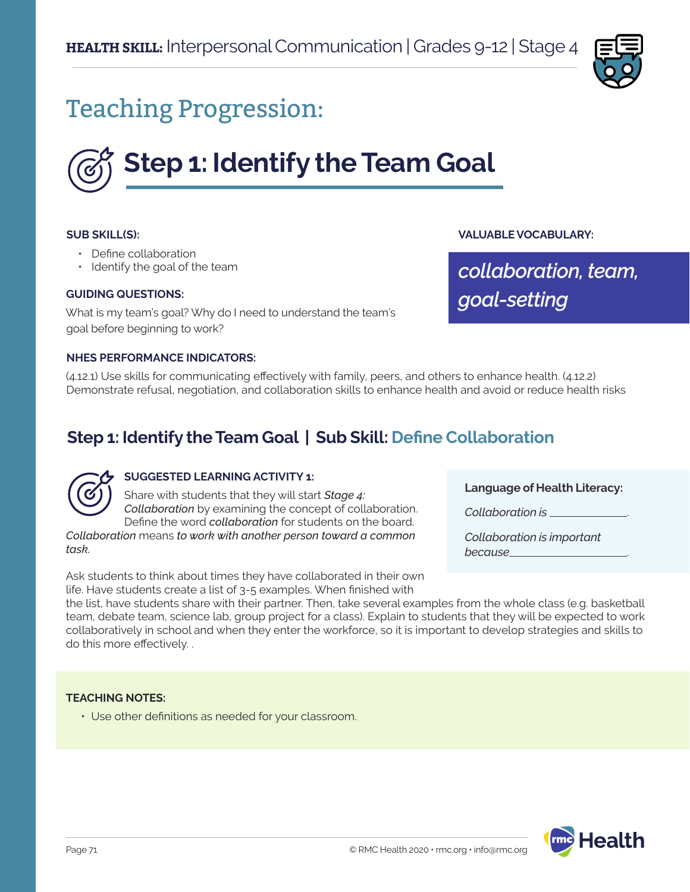

# Teaching Progression:



#### **SUB SKILL(S):**

- Define collaboration
- Identify the goal of the team

#### **GUIDING QUESTIONS:**

What is my team's goal? Why do I need to understand the team's goal before beginning to work?

#### **NHES PERFORMANCE INDICATORS:**

(4.12.1) Use skills for communicating effectively with family, peers, and others to enhance health. (4.12.2) Demonstrate refusal, negotiation, and collaboration skills to enhance health and avoid or reduce health risks

# **Step 1: Identify the Team Goal | Sub Skill: Define Collaboration**



## **SUGGESTED LEARNING ACTIVITY 1:**

Share with students that they will start *Stage 4: Collaboration* by examining the concept of collaboration. Define the word *collaboration* for students on the board.

*Collaboration* means *to work with another person toward a common task.* 

Ask students to think about times they have collaborated in their own life. Have students create a list of 3-5 examples. When finished with

**Language of Health Literacy:**

*Collaboration is* .

**VALUABLE VOCABULARY:**

*goal-setting*

*collaboration, team,*

*Collaboration is important because* .

the list, have students share with their partner. Then, take several examples from the whole class (e.g. basketball team, debate team, science lab, group project for a class). Explain to students that they will be expected to work collaboratively in school and when they enter the workforce, so it is important to develop strategies and skills to do this more effectively. .

#### **TEACHING NOTES:**

• Use other definitions as needed for your classroom.

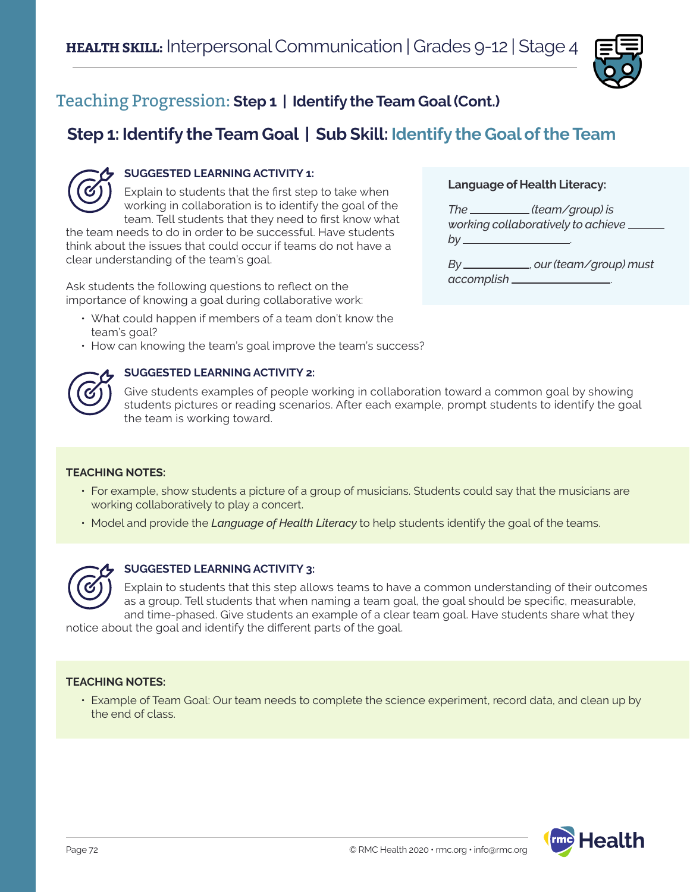

# Teaching Progression: **Step 1 | Identify the Team Goal (Cont.)**

# **Step 1: Identify the Team Goal | Sub Skill: Identify the Goal of the Team**



# **SUGGESTED LEARNING ACTIVITY 1:**

Explain to students that the first step to take when working in collaboration is to identify the goal of the team. Tell students that they need to first know what

the team needs to do in order to be successful. Have students think about the issues that could occur if teams do not have a clear understanding of the team's goal.

Ask students the following questions to reflect on the importance of knowing a goal during collaborative work:

- What could happen if members of a team don't know the team's goal?
- How can knowing the team's goal improve the team's success?



## **SUGGESTED LEARNING ACTIVITY 2:**

Give students examples of people working in collaboration toward a common goal by showing students pictures or reading scenarios. After each example, prompt students to identify the goal the team is working toward.

## **TEACHING NOTES:**

- For example, show students a picture of a group of musicians. Students could say that the musicians are working collaboratively to play a concert.
- Model and provide the *Language of Health Literacy* to help students identify the goal of the teams.



## **SUGGESTED LEARNING ACTIVITY 3:**

Explain to students that this step allows teams to have a common understanding of their outcomes as a group. Tell students that when naming a team goal, the goal should be specific, measurable, and time-phased. Give students an example of a clear team goal. Have students share what they

notice about the goal and identify the different parts of the goal.

## **TEACHING NOTES:**

• Example of Team Goal: Our team needs to complete the science experiment, record data, and clean up by the end of class.



**Language of Health Literacy:**

*The (team/group) is working collaboratively to achieve by* .

*By* , *our (team/group) must accomplish* .